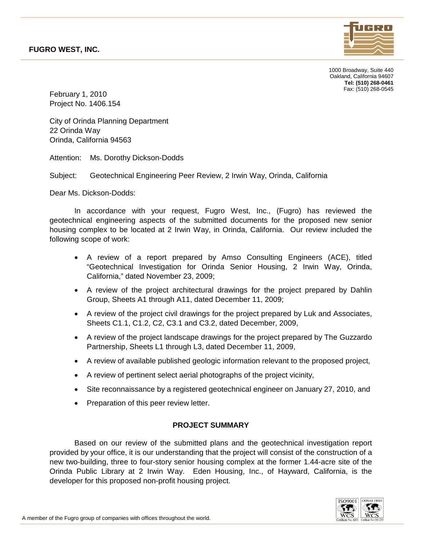

1000 Broadway, Suite 440 Oakland, California 94607 **Tel: (510) 268-0461** Fax: (510) 268-0545

February 1, 2010 Project No. 1406.154

City of Orinda Planning Department 22 Orinda Way Orinda, California 94563

Attention: Ms. Dorothy Dickson-Dodds

Subject: Geotechnical Engineering Peer Review, 2 Irwin Way, Orinda, California

Dear Ms. Dickson-Dodds:

In accordance with your request, Fugro West, Inc., (Fugro) has reviewed the geotechnical engineering aspects of the submitted documents for the proposed new senior housing complex to be located at 2 Irwin Way, in Orinda, California. Our review included the following scope of work:

- A review of a report prepared by Amso Consulting Engineers (ACE), titled "Geotechnical Investigation for Orinda Senior Housing, 2 Irwin Way, Orinda, California," dated November 23, 2009;
- A review of the project architectural drawings for the project prepared by Dahlin Group, Sheets A1 through A11, dated December 11, 2009;
- A review of the project civil drawings for the project prepared by Luk and Associates, Sheets C1.1, C1.2, C2, C3.1 and C3.2, dated December, 2009,
- A review of the project landscape drawings for the project prepared by The Guzzardo Partnership, Sheets L1 through L3, dated December 11, 2009,
- A review of available published geologic information relevant to the proposed project,
- A review of pertinent select aerial photographs of the project vicinity,
- Site reconnaissance by a registered geotechnical engineer on January 27, 2010, and
- Preparation of this peer review letter.

# **PROJECT SUMMARY**

Based on our review of the submitted plans and the geotechnical investigation report provided by your office, it is our understanding that the project will consist of the construction of a new two-building, three to four-story senior housing complex at the former 1.44-acre site of the Orinda Public Library at 2 Irwin Way. Eden Housing, Inc., of Hayward, California, is the developer for this proposed non-profit housing project.

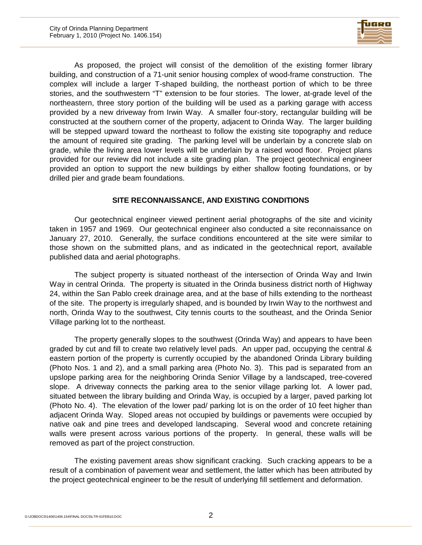

As proposed, the project will consist of the demolition of the existing former library building, and construction of a 71-unit senior housing complex of wood-frame construction. The complex will include a larger T-shaped building, the northeast portion of which to be three stories, and the southwestern "T" extension to be four stories. The lower, at-grade level of the northeastern, three story portion of the building will be used as a parking garage with access provided by a new driveway from Irwin Way. A smaller four-story, rectangular building will be constructed at the southern corner of the property, adjacent to Orinda Way. The larger building will be stepped upward toward the northeast to follow the existing site topography and reduce the amount of required site grading. The parking level will be underlain by a concrete slab on grade, while the living area lower levels will be underlain by a raised wood floor. Project plans provided for our review did not include a site grading plan. The project geotechnical engineer provided an option to support the new buildings by either shallow footing foundations, or by drilled pier and grade beam foundations.

### **SITE RECONNAISSANCE, AND EXISTING CONDITIONS**

Our geotechnical engineer viewed pertinent aerial photographs of the site and vicinity taken in 1957 and 1969. Our geotechnical engineer also conducted a site reconnaissance on January 27, 2010. Generally, the surface conditions encountered at the site were similar to those shown on the submitted plans, and as indicated in the geotechnical report, available published data and aerial photographs.

The subject property is situated northeast of the intersection of Orinda Way and Irwin Way in central Orinda. The property is situated in the Orinda business district north of Highway 24, within the San Pablo creek drainage area, and at the base of hills extending to the northeast of the site. The property is irregularly shaped, and is bounded by Irwin Way to the northwest and north, Orinda Way to the southwest, City tennis courts to the southeast, and the Orinda Senior Village parking lot to the northeast.

The property generally slopes to the southwest (Orinda Way) and appears to have been graded by cut and fill to create two relatively level pads. An upper pad, occupying the central & eastern portion of the property is currently occupied by the abandoned Orinda Library building (Photo Nos. 1 and 2), and a small parking area (Photo No. 3). This pad is separated from an upslope parking area for the neighboring Orinda Senior Village by a landscaped, tree-covered slope. A driveway connects the parking area to the senior village parking lot. A lower pad, situated between the library building and Orinda Way, is occupied by a larger, paved parking lot (Photo No. 4). The elevation of the lower pad/ parking lot is on the order of 10 feet higher than adjacent Orinda Way. Sloped areas not occupied by buildings or pavements were occupied by native oak and pine trees and developed landscaping. Several wood and concrete retaining walls were present across various portions of the property. In general, these walls will be removed as part of the project construction.

The existing pavement areas show significant cracking. Such cracking appears to be a result of a combination of pavement wear and settlement, the latter which has been attributed by the project geotechnical engineer to be the result of underlying fill settlement and deformation.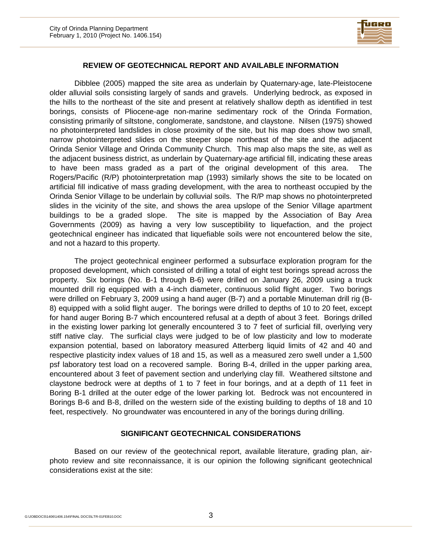

#### **REVIEW OF GEOTECHNICAL REPORT AND AVAILABLE INFORMATION**

Dibblee (2005) mapped the site area as underlain by Quaternary-age, late-Pleistocene older alluvial soils consisting largely of sands and gravels. Underlying bedrock, as exposed in the hills to the northeast of the site and present at relatively shallow depth as identified in test borings, consists of Pliocene-age non-marine sedimentary rock of the Orinda Formation, consisting primarily of siltstone, conglomerate, sandstone, and claystone. Nilsen (1975) showed no photointerpreted landslides in close proximity of the site, but his map does show two small, narrow photointerpreted slides on the steeper slope northeast of the site and the adjacent Orinda Senior Village and Orinda Community Church. This map also maps the site, as well as the adjacent business district, as underlain by Quaternary-age artificial fill, indicating these areas to have been mass graded as a part of the original development of this area. The Rogers/Pacific (R/P) photointerpretation map (1993) similarly shows the site to be located on artificial fill indicative of mass grading development, with the area to northeast occupied by the Orinda Senior Village to be underlain by colluvial soils. The R/P map shows no photointerpreted slides in the vicinity of the site, and shows the area upslope of the Senior Village apartment buildings to be a graded slope. The site is mapped by the Association of Bay Area Governments (2009) as having a very low susceptibility to liquefaction, and the project geotechnical engineer has indicated that liquefiable soils were not encountered below the site, and not a hazard to this property.

The project geotechnical engineer performed a subsurface exploration program for the proposed development, which consisted of drilling a total of eight test borings spread across the property. Six borings (No. B-1 through B-6) were drilled on January 26, 2009 using a truck mounted drill rig equipped with a 4-inch diameter, continuous solid flight auger. Two borings were drilled on February 3, 2009 using a hand auger (B-7) and a portable Minuteman drill rig (B-8) equipped with a solid flight auger. The borings were drilled to depths of 10 to 20 feet, except for hand auger Boring B-7 which encountered refusal at a depth of about 3 feet. Borings drilled in the existing lower parking lot generally encountered 3 to 7 feet of surficial fill, overlying very stiff native clay. The surficial clays were judged to be of low plasticity and low to moderate expansion potential, based on laboratory measured Atterberg liquid limits of 42 and 40 and respective plasticity index values of 18 and 15, as well as a measured zero swell under a 1,500 psf laboratory test load on a recovered sample. Boring B-4, drilled in the upper parking area, encountered about 3 feet of pavement section and underlying clay fill. Weathered siltstone and claystone bedrock were at depths of 1 to 7 feet in four borings, and at a depth of 11 feet in Boring B-1 drilled at the outer edge of the lower parking lot. Bedrock was not encountered in Borings B-6 and B-8, drilled on the western side of the existing building to depths of 18 and 10 feet, respectively. No groundwater was encountered in any of the borings during drilling.

#### **SIGNIFICANT GEOTECHNICAL CONSIDERATIONS**

Based on our review of the geotechnical report, available literature, grading plan, airphoto review and site reconnaissance, it is our opinion the following significant geotechnical considerations exist at the site: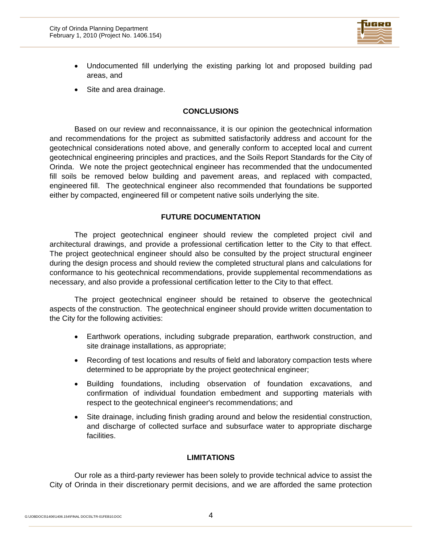

- Undocumented fill underlying the existing parking lot and proposed building pad areas, and
- Site and area drainage.

### **CONCLUSIONS**

Based on our review and reconnaissance, it is our opinion the geotechnical information and recommendations for the project as submitted satisfactorily address and account for the geotechnical considerations noted above, and generally conform to accepted local and current geotechnical engineering principles and practices, and the Soils Report Standards for the City of Orinda. We note the project geotechnical engineer has recommended that the undocumented fill soils be removed below building and pavement areas, and replaced with compacted, engineered fill. The geotechnical engineer also recommended that foundations be supported either by compacted, engineered fill or competent native soils underlying the site.

## **FUTURE DOCUMENTATION**

The project geotechnical engineer should review the completed project civil and architectural drawings, and provide a professional certification letter to the City to that effect. The project geotechnical engineer should also be consulted by the project structural engineer during the design process and should review the completed structural plans and calculations for conformance to his geotechnical recommendations, provide supplemental recommendations as necessary, and also provide a professional certification letter to the City to that effect.

The project geotechnical engineer should be retained to observe the geotechnical aspects of the construction. The geotechnical engineer should provide written documentation to the City for the following activities:

- Earthwork operations, including subgrade preparation, earthwork construction, and site drainage installations, as appropriate;
- Recording of test locations and results of field and laboratory compaction tests where determined to be appropriate by the project geotechnical engineer;
- Building foundations, including observation of foundation excavations, and confirmation of individual foundation embedment and supporting materials with respect to the geotechnical engineer's recommendations; and
- Site drainage, including finish grading around and below the residential construction, and discharge of collected surface and subsurface water to appropriate discharge facilities.

# **LIMITATIONS**

Our role as a third-party reviewer has been solely to provide technical advice to assist the City of Orinda in their discretionary permit decisions, and we are afforded the same protection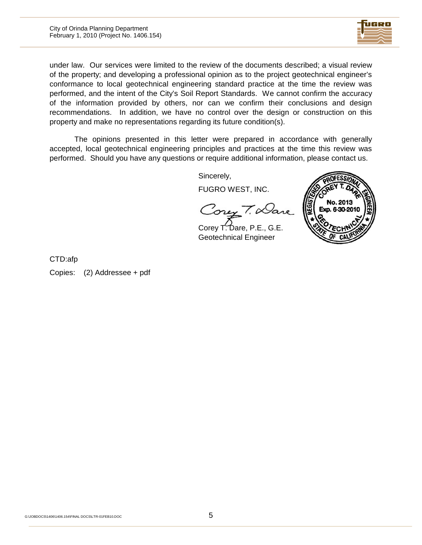

under law. Our services were limited to the review of the documents described; a visual review of the property; and developing a professional opinion as to the project geotechnical engineer's conformance to local geotechnical engineering standard practice at the time the review was performed, and the intent of the City's Soil Report Standards. We cannot confirm the accuracy of the information provided by others, nor can we confirm their conclusions and design recommendations. In addition, we have no control over the design or construction on this property and make no representations regarding its future condition(s).

The opinions presented in this letter were prepared in accordance with generally accepted, local geotechnical engineering principles and practices at the time this review was performed. Should you have any questions or require additional information, please contact us.

Sincerely,

FUGRO WEST, INC.

Coney T. Dane

Corey T. Dare, P.E., G.E. Geotechnical Engineer



CTD:afp

Copies: (2) Addressee + pdf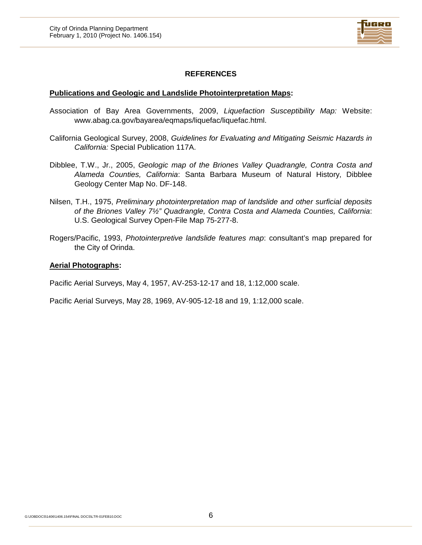

# **REFERENCES**

### **Publications and Geologic and Landslide Photointerpretation Maps:**

- Association of Bay Area Governments, 2009, *Liquefaction Susceptibility Map:* Website: www.abag.ca.gov/bayarea/eqmaps/liquefac/liquefac.html.
- California Geological Survey, 2008, *Guidelines for Evaluating and Mitigating Seismic Hazards in California:* Special Publication 117A.
- Dibblee, T.W., Jr., 2005, *Geologic map of the Briones Valley Quadrangle, Contra Costa and Alameda Counties, California*: Santa Barbara Museum of Natural History, Dibblee Geology Center Map No. DF-148.
- Nilsen, T.H., 1975, *Preliminary photointerpretation map of landslide and other surficial deposits of the Briones Valley 7½" Quadrangle, Contra Costa and Alameda Counties, California*: U.S. Geological Survey Open-File Map 75-277-8.
- Rogers/Pacific, 1993, *Photointerpretive landslide features map*: consultant's map prepared for the City of Orinda.

#### **Aerial Photographs:**

Pacific Aerial Surveys, May 4, 1957, AV-253-12-17 and 18, 1:12,000 scale.

Pacific Aerial Surveys, May 28, 1969, AV-905-12-18 and 19, 1:12,000 scale.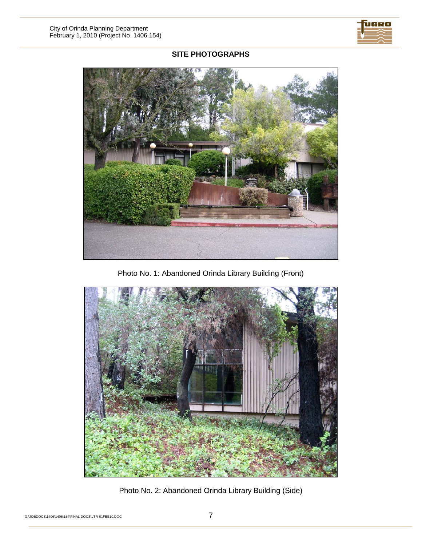

# **SITE PHOTOGRAPHS**



Photo No. 1: Abandoned Orinda Library Building (Front)



Photo No. 2: Abandoned Orinda Library Building (Side)